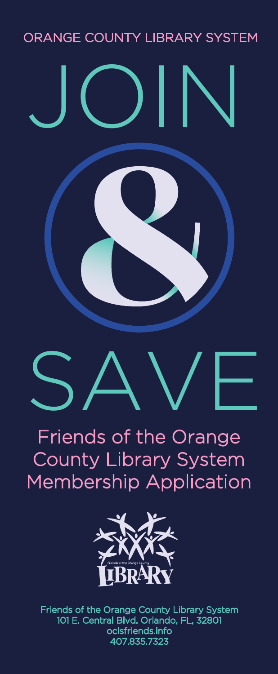#### ORANGE COUNTY LIBRARY SYSTEM

JOIN

# SAVE

# Friends of the Orange County Library System Membership Application



Friends of the Orange County Library System 101 E. Central Blvd. Orlando, FL, 32801 oclsfriends.info 407.835.7323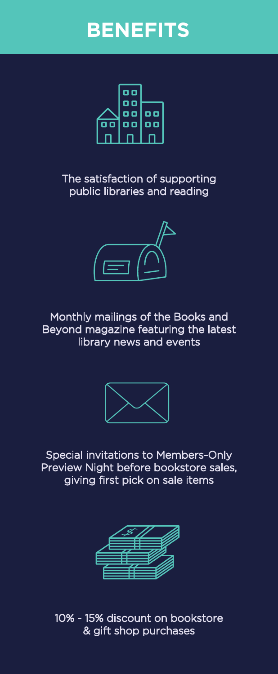## **BENEFITS**



The satisfaction of supporting public libraries and reading



Monthly mailings of the Books and Beyond magazine featuring the latest library news and events



Special invitations to Members-Only Preview Night before bookstore sales, giving first pick on sale items



10% - 15% discount on bookstore & gift shop purchases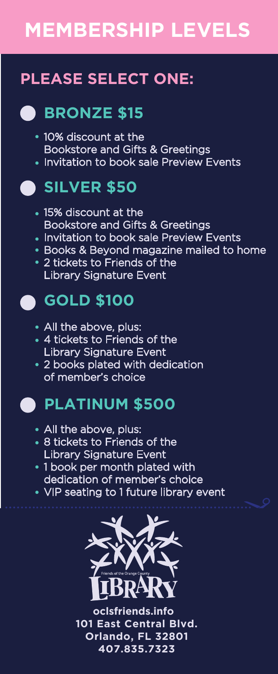# **MEMBERSHIP LEVELS**

## **PLEASE SELECT ONE:**

#### **BRONZE \$15**  $\blacksquare$

- 10% discount at the Bookstore and Gifts & Greetings
- **Invitation to book sale Preview Events**

#### **SILVER \$50**

- 15% discount at the Bookstore and Gifts & Greetings
- Invitation to book sale Preview Events
- **Books & Beyond magazine mailed to home**
- 2 tickets to Friends of the Library Signature Event

### **GOLD \$100**

- All the above, plus:
- 4 tickets to Friends of the Library Signature Event
- 2 books plated with dedication of member's choice

#### **PLATINUM \$500**

- All the above, plus:
- 8 tickets to Friends of the Library Signature Event
- 1 book per month plated with dedication of member's choice
- VIP seating to 1 future library event



**oclsfriends.info 101 East Central Blvd. Orlando, FL 32801 407.835.7323**